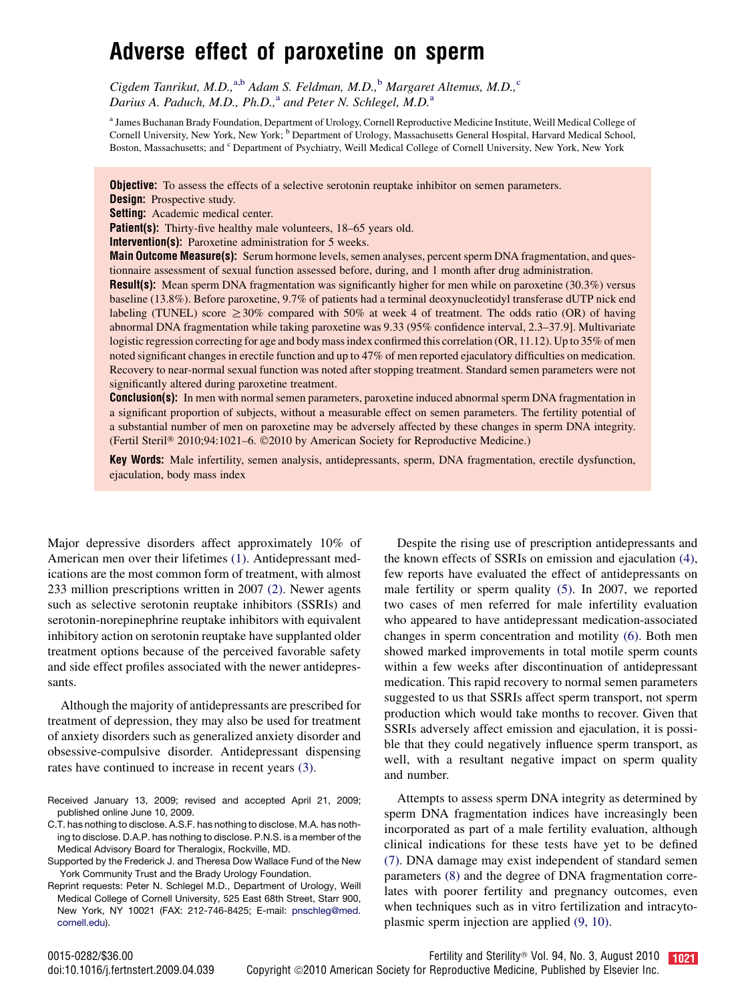# Adverse effect of paroxetine on sperm

Cigdem Tanrikut, M.D., $a,b$  Adam S. Feldman, M.D., $b$  Margaret Altemus, M.D., $c$ Darius A. Paduch, M.D., Ph.D.,<sup>a</sup> and Peter N. Schlegel, M.D.<sup>a</sup>

<sup>a</sup> James Buchanan Brady Foundation, Department of Urology, Cornell Reproductive Medicine Institute, Weill Medical College of Cornell University, New York, New York; <sup>b</sup> Department of Urology, Massachusetts General Hospital, Harvard Medical School, Boston, Massachusetts; and <sup>c</sup> Department of Psychiatry, Weill Medical College of Cornell University, New York, New York

**Objective:** To assess the effects of a selective serotonin reuptake inhibitor on semen parameters.

**Design:** Prospective study.

Setting: Academic medical center.

Patient(s): Thirty-five healthy male volunteers, 18-65 years old.

Intervention(s): Paroxetine administration for 5 weeks.

**Main Outcome Measure(s):** Serum hormone levels, semen analyses, percent sperm DNA fragmentation, and questionnaire assessment of sexual function assessed before, during, and 1 month after drug administration.

Result(s): Mean sperm DNA fragmentation was significantly higher for men while on paroxetine (30.3%) versus baseline (13.8%). Before paroxetine, 9.7% of patients had a terminal deoxynucleotidyl transferase dUTP nick end labeling (TUNEL) score  $\geq$ 30% compared with 50% at week 4 of treatment. The odds ratio (OR) of having abnormal DNA fragmentation while taking paroxetine was 9.33 (95% confidence interval, 2.3–37.9]. Multivariate logistic regression correcting for age and body mass index confirmed this correlation (OR, 11.12). Up to 35% of men noted significant changes in erectile function and up to 47% of men reported ejaculatory difficulties on medication. Recovery to near-normal sexual function was noted after stopping treatment. Standard semen parameters were not significantly altered during paroxetine treatment.

Conclusion(s): In men with normal semen parameters, paroxetine induced abnormal sperm DNA fragmentation in a significant proportion of subjects, without a measurable effect on semen parameters. The fertility potential of a substantial number of men on paroxetine may be adversely affected by these changes in sperm DNA integrity. (Fertil Steril® 2010;94:1021-6. ©2010 by American Society for Reproductive Medicine.)

Key Words: Male infertility, semen analysis, antidepressants, sperm, DNA fragmentation, erectile dysfunction, ejaculation, body mass index

Major depressive disorders affect approximately 10% of American men over their lifetimes [\(1\)](#page-4-0). Antidepressant medications are the most common form of treatment, with almost 233 million prescriptions written in 2007 [\(2\)](#page-4-0). Newer agents such as selective serotonin reuptake inhibitors (SSRIs) and serotonin-norepinephrine reuptake inhibitors with equivalent inhibitory action on serotonin reuptake have supplanted older treatment options because of the perceived favorable safety and side effect profiles associated with the newer antidepressants.

Although the majority of antidepressants are prescribed for treatment of depression, they may also be used for treatment of anxiety disorders such as generalized anxiety disorder and obsessive-compulsive disorder. Antidepressant dispensing rates have continued to increase in recent years [\(3\)](#page-4-0).

Received January 13, 2009; revised and accepted April 21, 2009; published online June 10, 2009.

C.T. has nothing to disclose. A.S.F. has nothing to disclose. M.A. has nothing to disclose. D.A.P. has nothing to disclose. P.N.S. is a member of the Medical Advisory Board for Theralogix, Rockville, MD.

Supported by the Frederick J. and Theresa Dow Wallace Fund of the New York Community Trust and the Brady Urology Foundation.

Reprint requests: Peter N. Schlegel M.D., Department of Urology, Weill Medical College of Cornell University, 525 East 68th Street, Starr 900, New York, NY 10021 (FAX: 212-746-8425; E-mail: [pnschleg@med.](mailto:pnschleg@med.cornell.edu) [cornell.edu](mailto:pnschleg@med.cornell.edu)).

Despite the rising use of prescription antidepressants and the known effects of SSRIs on emission and ejaculation [\(4\)](#page-4-0), few reports have evaluated the effect of antidepressants on male fertility or sperm quality [\(5\)](#page-4-0). In 2007, we reported two cases of men referred for male infertility evaluation who appeared to have antidepressant medication-associated changes in sperm concentration and motility [\(6\)](#page-4-0). Both men showed marked improvements in total motile sperm counts within a few weeks after discontinuation of antidepressant medication. This rapid recovery to normal semen parameters suggested to us that SSRIs affect sperm transport, not sperm production which would take months to recover. Given that SSRIs adversely affect emission and ejaculation, it is possible that they could negatively influence sperm transport, as well, with a resultant negative impact on sperm quality and number.

Attempts to assess sperm DNA integrity as determined by sperm DNA fragmentation indices have increasingly been incorporated as part of a male fertility evaluation, although clinical indications for these tests have yet to be defined [\(7\).](#page-4-0) DNA damage may exist independent of standard semen parameters [\(8\)](#page-4-0) and the degree of DNA fragmentation correlates with poorer fertility and pregnancy outcomes, even when techniques such as in vitro fertilization and intracytoplasmic sperm injection are applied [\(9, 10\)](#page-4-0).

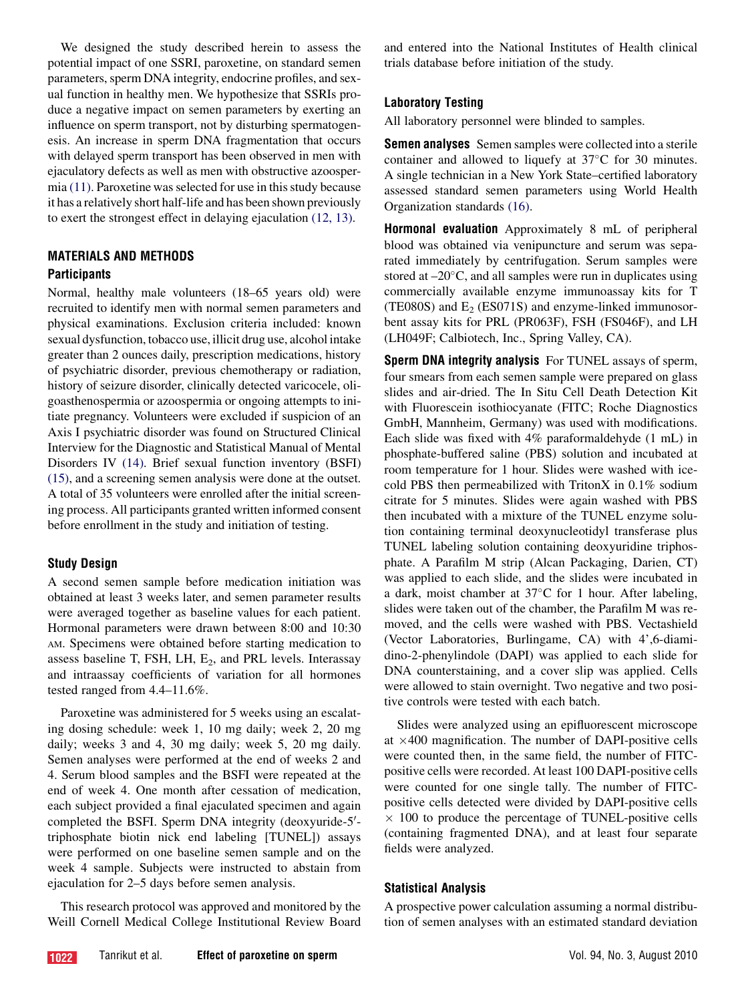We designed the study described herein to assess the potential impact of one SSRI, paroxetine, on standard semen parameters, sperm DNA integrity, endocrine profiles, and sexual function in healthy men. We hypothesize that SSRIs produce a negative impact on semen parameters by exerting an influence on sperm transport, not by disturbing spermatogenesis. An increase in sperm DNA fragmentation that occurs with delayed sperm transport has been observed in men with ejaculatory defects as well as men with obstructive azoospermia [\(11\)](#page-4-0). Paroxetine was selected for use in this study because it has a relatively short half-life and has been shown previously to exert the strongest effect in delaying ejaculation [\(12, 13\)](#page-4-0).

# MATERIALS AND METHODS **Participants**

Normal, healthy male volunteers (18–65 years old) were recruited to identify men with normal semen parameters and physical examinations. Exclusion criteria included: known sexual dysfunction, tobacco use, illicit drug use, alcohol intake greater than 2 ounces daily, prescription medications, history of psychiatric disorder, previous chemotherapy or radiation, history of seizure disorder, clinically detected varicocele, oligoasthenospermia or azoospermia or ongoing attempts to initiate pregnancy. Volunteers were excluded if suspicion of an Axis I psychiatric disorder was found on Structured Clinical Interview for the Diagnostic and Statistical Manual of Mental Disorders IV [\(14\).](#page-4-0) Brief sexual function inventory (BSFI) [\(15\)](#page-4-0), and a screening semen analysis were done at the outset. A total of 35 volunteers were enrolled after the initial screening process. All participants granted written informed consent before enrollment in the study and initiation of testing.

### Study Design

A second semen sample before medication initiation was obtained at least 3 weeks later, and semen parameter results were averaged together as baseline values for each patient. Hormonal parameters were drawn between 8:00 and 10:30 AM. Specimens were obtained before starting medication to assess baseline T, FSH, LH,  $E_2$ , and PRL levels. Interassay and intraassay coefficients of variation for all hormones tested ranged from 4.4–11.6%.

Paroxetine was administered for 5 weeks using an escalating dosing schedule: week 1, 10 mg daily; week 2, 20 mg daily; weeks 3 and 4, 30 mg daily; week 5, 20 mg daily. Semen analyses were performed at the end of weeks 2 and 4. Serum blood samples and the BSFI were repeated at the end of week 4. One month after cessation of medication, each subject provided a final ejaculated specimen and again completed the BSFI. Sperm DNA integrity (deoxyuride-5'triphosphate biotin nick end labeling [TUNEL]) assays were performed on one baseline semen sample and on the week 4 sample. Subjects were instructed to abstain from ejaculation for 2–5 days before semen analysis.

This research protocol was approved and monitored by the Weill Cornell Medical College Institutional Review Board and entered into the National Institutes of Health clinical trials database before initiation of the study.

### Laboratory Testing

All laboratory personnel were blinded to samples.

Semen analyses Semen samples were collected into a sterile container and allowed to liquefy at  $37^{\circ}$ C for 30 minutes. A single technician in a New York State–certified laboratory assessed standard semen parameters using World Health Organization standards [\(16\)](#page-4-0).

Hormonal evaluation Approximately 8 mL of peripheral blood was obtained via venipuncture and serum was separated immediately by centrifugation. Serum samples were stored at  $-20^{\circ}$ C, and all samples were run in duplicates using commercially available enzyme immunoassay kits for T (TE080S) and  $E_2$  (ES071S) and enzyme-linked immunosorbent assay kits for PRL (PR063F), FSH (FS046F), and LH (LH049F; Calbiotech, Inc., Spring Valley, CA).

Sperm DNA integrity analysis For TUNEL assays of sperm, four smears from each semen sample were prepared on glass slides and air-dried. The In Situ Cell Death Detection Kit with Fluorescein isothiocyanate (FITC; Roche Diagnostics GmbH, Mannheim, Germany) was used with modifications. Each slide was fixed with 4% paraformaldehyde (1 mL) in phosphate-buffered saline (PBS) solution and incubated at room temperature for 1 hour. Slides were washed with icecold PBS then permeabilized with TritonX in 0.1% sodium citrate for 5 minutes. Slides were again washed with PBS then incubated with a mixture of the TUNEL enzyme solution containing terminal deoxynucleotidyl transferase plus TUNEL labeling solution containing deoxyuridine triphosphate. A Parafilm M strip (Alcan Packaging, Darien, CT) was applied to each slide, and the slides were incubated in a dark, moist chamber at  $37^{\circ}$ C for 1 hour. After labeling, slides were taken out of the chamber, the Parafilm M was removed, and the cells were washed with PBS. Vectashield (Vector Laboratories, Burlingame, CA) with 4',6-diamidino-2-phenylindole (DAPI) was applied to each slide for DNA counterstaining, and a cover slip was applied. Cells were allowed to stain overnight. Two negative and two positive controls were tested with each batch.

Slides were analyzed using an epifluorescent microscope at  $\times$ 400 magnification. The number of DAPI-positive cells were counted then, in the same field, the number of FITCpositive cells were recorded. At least 100 DAPI-positive cells were counted for one single tally. The number of FITCpositive cells detected were divided by DAPI-positive cells  $\times$  100 to produce the percentage of TUNEL-positive cells (containing fragmented DNA), and at least four separate fields were analyzed.

## Statistical Analysis

A prospective power calculation assuming a normal distribution of semen analyses with an estimated standard deviation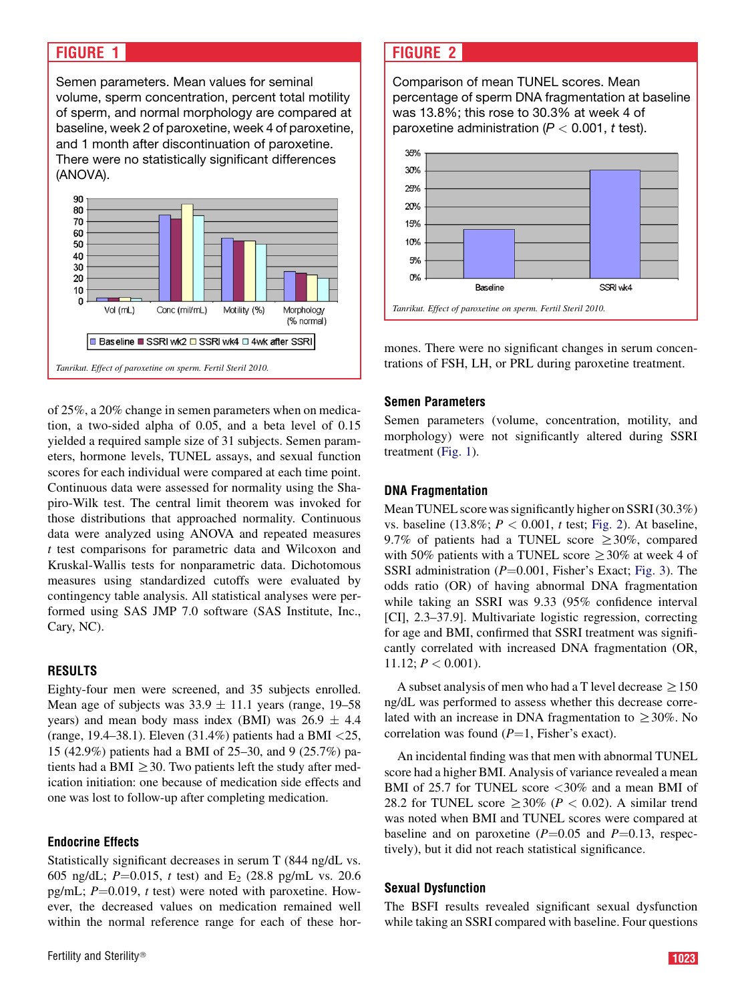# FIGURE 1

Semen parameters. Mean values for seminal volume, sperm concentration, percent total motility of sperm, and normal morphology are compared at baseline, week 2 of paroxetine, week 4 of paroxetine, and 1 month after discontinuation of paroxetine. There were no statistically significant differences (ANOVA).



of 25%, a 20% change in semen parameters when on medication, a two-sided alpha of 0.05, and a beta level of 0.15 yielded a required sample size of 31 subjects. Semen parameters, hormone levels, TUNEL assays, and sexual function scores for each individual were compared at each time point. Continuous data were assessed for normality using the Shapiro-Wilk test. The central limit theorem was invoked for those distributions that approached normality. Continuous data were analyzed using ANOVA and repeated measures t test comparisons for parametric data and Wilcoxon and Kruskal-Wallis tests for nonparametric data. Dichotomous measures using standardized cutoffs were evaluated by contingency table analysis. All statistical analyses were performed using SAS JMP 7.0 software (SAS Institute, Inc., Cary, NC).

### RESULTS

Eighty-four men were screened, and 35 subjects enrolled. Mean age of subjects was  $33.9 \pm 11.1$  years (range, 19–58) years) and mean body mass index (BMI) was  $26.9 \pm 4.4$ (range, 19.4–38.1). Eleven  $(31.4\%)$  patients had a BMI <25, 15 (42.9%) patients had a BMI of 25–30, and 9 (25.7%) patients had a BMI  $\geq$  30. Two patients left the study after medication initiation: one because of medication side effects and one was lost to follow-up after completing medication.

#### Endocrine Effects

Statistically significant decreases in serum T (844 ng/dL vs. 605 ng/dL;  $P=0.015$ , t test) and E<sub>2</sub> (28.8 pg/mL vs. 20.6 pg/mL;  $P=0.019$ , t test) were noted with paroxetine. However, the decreased values on medication remained well within the normal reference range for each of these hor-

# FIGURE 2

Comparison of mean TUNEL scores. Mean percentage of sperm DNA fragmentation at baseline was 13.8%; this rose to 30.3% at week 4 of paroxetine administration (*P* < 0.001, *t* test).



mones. There were no significant changes in serum concentrations of FSH, LH, or PRL during paroxetine treatment.

#### Semen Parameters

Semen parameters (volume, concentration, motility, and morphology) were not significantly altered during SSRI treatment (Fig. 1).

#### DNA Fragmentation

Mean TUNEL score was significantly higher on SSRI (30.3%) vs. baseline (13.8%;  $P < 0.001$ , t test; Fig. 2). At baseline, 9.7% of patients had a TUNEL score  $\geq 30\%$ , compared with 50% patients with a TUNEL score  $\geq$  30% at week 4 of SSRI administration  $(P=0.001,$  Fisher's Exact; [Fig. 3](#page-3-0)). The odds ratio (OR) of having abnormal DNA fragmentation while taking an SSRI was 9.33 (95% confidence interval [CI], 2.3–37.9]. Multivariate logistic regression, correcting for age and BMI, confirmed that SSRI treatment was significantly correlated with increased DNA fragmentation (OR, 11.12;  $P < 0.001$ ).

A subset analysis of men who had a T level decrease  $\geq 150$ ng/dL was performed to assess whether this decrease correlated with an increase in DNA fragmentation to  $\geq 30\%$ . No correlation was found  $(P=1,$  Fisher's exact).

An incidental finding was that men with abnormal TUNEL score had a higher BMI. Analysis of variance revealed a mean BMI of 25.7 for TUNEL score <30% and a mean BMI of 28.2 for TUNEL score  $\geq$  30% (P < 0.02). A similar trend was noted when BMI and TUNEL scores were compared at baseline and on paroxetine  $(P=0.05$  and  $P=0.13$ , respectively), but it did not reach statistical significance.

#### Sexual Dysfunction

The BSFI results revealed significant sexual dysfunction while taking an SSRI compared with baseline. Four questions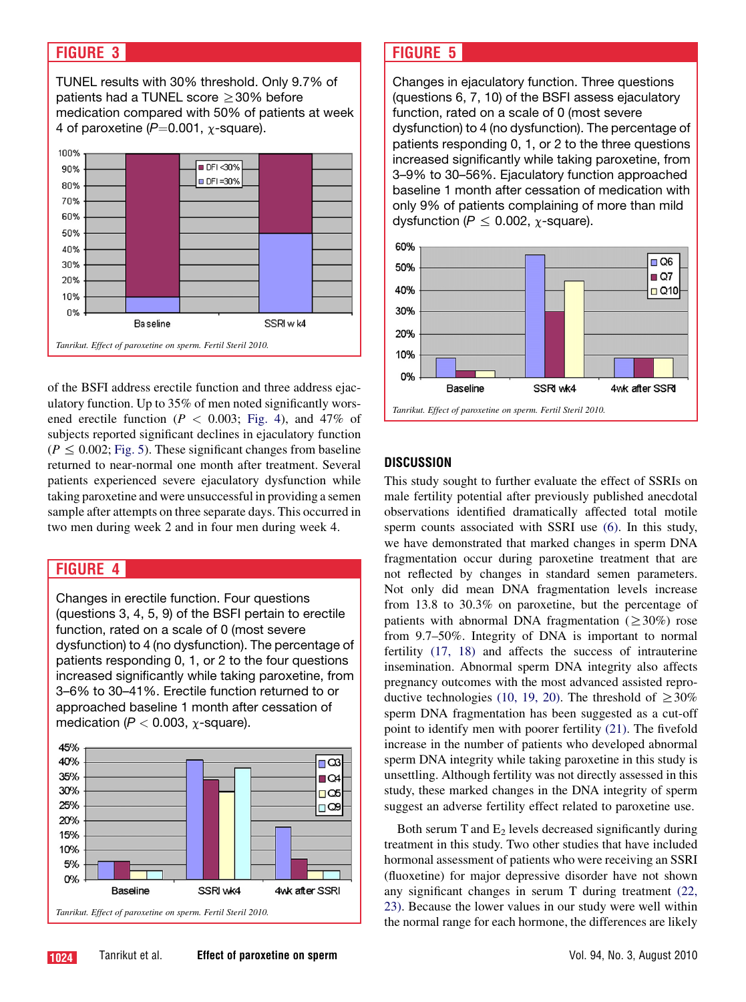# <span id="page-3-0"></span>FIGURE 3

TUNEL results with 30% threshold. Only 9.7% of patients had a TUNEL score  $\geq$ 30% before medication compared with 50% of patients at week 4 of paroxetine ( $P$ =0.001,  $\chi$ -square).



of the BSFI address erectile function and three address ejaculatory function. Up to 35% of men noted significantly worsened erectile function ( $P < 0.003$ ; Fig. 4), and 47% of subjects reported significant declines in ejaculatory function  $(P \le 0.002; Fig. 5)$ . These significant changes from baseline returned to near-normal one month after treatment. Several patients experienced severe ejaculatory dysfunction while taking paroxetine and were unsuccessful in providing a semen sample after attempts on three separate days. This occurred in two men during week 2 and in four men during week 4.

# FIGURE 4

Changes in erectile function. Four questions (questions 3, 4, 5, 9) of the BSFI pertain to erectile function, rated on a scale of 0 (most severe dysfunction) to 4 (no dysfunction). The percentage of patients responding 0, 1, or 2 to the four questions increased significantly while taking paroxetine, from 3–6% to 30–41%. Erectile function returned to or approached baseline 1 month after cessation of medication ( $P < 0.003$ ,  $\chi$ -square).



# FIGURE 5

Changes in ejaculatory function. Three questions (questions 6, 7, 10) of the BSFI assess ejaculatory function, rated on a scale of 0 (most severe dysfunction) to 4 (no dysfunction). The percentage of patients responding 0, 1, or 2 to the three questions increased significantly while taking paroxetine, from 3–9% to 30–56%. Ejaculatory function approached baseline 1 month after cessation of medication with only 9% of patients complaining of more than mild dysfunction ( $P \le 0.002$ ,  $\chi$ -square).



### **DISCUSSION**

This study sought to further evaluate the effect of SSRIs on male fertility potential after previously published anecdotal observations identified dramatically affected total motile sperm counts associated with SSRI use [\(6\).](#page-4-0) In this study, we have demonstrated that marked changes in sperm DNA fragmentation occur during paroxetine treatment that are not reflected by changes in standard semen parameters. Not only did mean DNA fragmentation levels increase from 13.8 to 30.3% on paroxetine, but the percentage of patients with abnormal DNA fragmentation ( $\geq 30\%$ ) rose from 9.7–50%. Integrity of DNA is important to normal fertility [\(17, 18\)](#page-4-0) and affects the success of intrauterine insemination. Abnormal sperm DNA integrity also affects pregnancy outcomes with the most advanced assisted repro-ductive technologies [\(10, 19, 20\).](#page-4-0) The threshold of  $\geq 30\%$ sperm DNA fragmentation has been suggested as a cut-off point to identify men with poorer fertility [\(21\)](#page-5-0). The fivefold increase in the number of patients who developed abnormal sperm DNA integrity while taking paroxetine in this study is unsettling. Although fertility was not directly assessed in this study, these marked changes in the DNA integrity of sperm suggest an adverse fertility effect related to paroxetine use.

Both serum  $T$  and  $E_2$  levels decreased significantly during treatment in this study. Two other studies that have included hormonal assessment of patients who were receiving an SSRI (fluoxetine) for major depressive disorder have not shown any significant changes in serum T during treatment [\(22,](#page-5-0) [23\)](#page-5-0). Because the lower values in our study were well within the normal range for each hormone, the differences are likely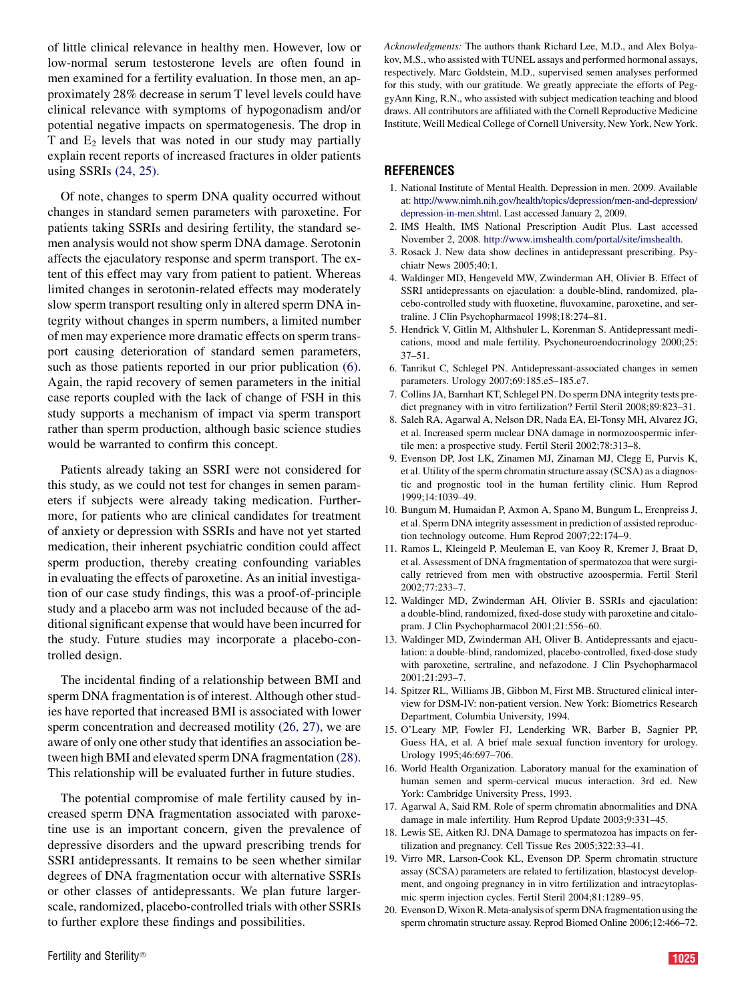<span id="page-4-0"></span>of little clinical relevance in healthy men. However, low or low-normal serum testosterone levels are often found in men examined for a fertility evaluation. In those men, an approximately 28% decrease in serum T level levels could have clinical relevance with symptoms of hypogonadism and/or potential negative impacts on spermatogenesis. The drop in T and  $E_2$  levels that was noted in our study may partially explain recent reports of increased fractures in older patients using SSRIs [\(24, 25\).](#page-5-0)

Of note, changes to sperm DNA quality occurred without changes in standard semen parameters with paroxetine. For patients taking SSRIs and desiring fertility, the standard semen analysis would not show sperm DNA damage. Serotonin affects the ejaculatory response and sperm transport. The extent of this effect may vary from patient to patient. Whereas limited changes in serotonin-related effects may moderately slow sperm transport resulting only in altered sperm DNA integrity without changes in sperm numbers, a limited number of men may experience more dramatic effects on sperm transport causing deterioration of standard semen parameters, such as those patients reported in our prior publication  $(6)$ . Again, the rapid recovery of semen parameters in the initial case reports coupled with the lack of change of FSH in this study supports a mechanism of impact via sperm transport rather than sperm production, although basic science studies would be warranted to confirm this concept.

Patients already taking an SSRI were not considered for this study, as we could not test for changes in semen parameters if subjects were already taking medication. Furthermore, for patients who are clinical candidates for treatment of anxiety or depression with SSRIs and have not yet started medication, their inherent psychiatric condition could affect sperm production, thereby creating confounding variables in evaluating the effects of paroxetine. As an initial investigation of our case study findings, this was a proof-of-principle study and a placebo arm was not included because of the additional significant expense that would have been incurred for the study. Future studies may incorporate a placebo-controlled design.

The incidental finding of a relationship between BMI and sperm DNA fragmentation is of interest. Although other studies have reported that increased BMI is associated with lower sperm concentration and decreased motility  $(26, 27)$ , we are aware of only one other study that identifies an association between high BMI and elevated sperm DNA fragmentation [\(28\)](#page-5-0). This relationship will be evaluated further in future studies.

The potential compromise of male fertility caused by increased sperm DNA fragmentation associated with paroxetine use is an important concern, given the prevalence of depressive disorders and the upward prescribing trends for SSRI antidepressants. It remains to be seen whether similar degrees of DNA fragmentation occur with alternative SSRIs or other classes of antidepressants. We plan future largerscale, randomized, placebo-controlled trials with other SSRIs to further explore these findings and possibilities.

Acknowledgments: The authors thank Richard Lee, M.D., and Alex Bolyakov, M.S., who assisted with TUNEL assays and performed hormonal assays, respectively. Marc Goldstein, M.D., supervised semen analyses performed for this study, with our gratitude. We greatly appreciate the efforts of PeggyAnn King, R.N., who assisted with subject medication teaching and blood draws. All contributors are affiliated with the Cornell Reproductive Medicine Institute, Weill Medical College of Cornell University, New York, New York.

### **REFERENCES**

- 1. National Institute of Mental Health. Depression in men. 2009. Available at: [http://www.nimh.nih.gov/health/topics/depression/men-and-depression/](http://www.nimh.nih.gov/health/topics/depression/men-and-depression/depression-in-men.shtml) [depression-in-men.shtml.](http://www.nimh.nih.gov/health/topics/depression/men-and-depression/depression-in-men.shtml) Last accessed January 2, 2009.
- 2. IMS Health, IMS National Prescription Audit Plus. Last accessed November 2, 2008. [http://www.imshealth.com/portal/site/imshealth.](http://www.imshealth.com/portal/site/imshealth)
- 3. Rosack J. New data show declines in antidepressant prescribing. Psychiatr News 2005;40:1.
- 4. Waldinger MD, Hengeveld MW, Zwinderman AH, Olivier B. Effect of SSRI antidepressants on ejaculation: a double-blind, randomized, placebo-controlled study with fluoxetine, fluvoxamine, paroxetine, and sertraline. J Clin Psychopharmacol 1998;18:274–81.
- 5. Hendrick V, Gitlin M, Althshuler L, Korenman S. Antidepressant medications, mood and male fertility. Psychoneuroendocrinology 2000;25: 37–51.
- 6. Tanrikut C, Schlegel PN. Antidepressant-associated changes in semen parameters. Urology 2007;69:185.e5–185.e7.
- 7. Collins JA, Barnhart KT, Schlegel PN. Do sperm DNA integrity tests predict pregnancy with in vitro fertilization? Fertil Steril 2008;89:823–31.
- 8. Saleh RA, Agarwal A, Nelson DR, Nada EA, El-Tonsy MH, Alvarez JG, et al. Increased sperm nuclear DNA damage in normozoospermic infertile men: a prospective study. Fertil Steril 2002;78:313–8.
- 9. Evenson DP, Jost LK, Zinamen MJ, Zinaman MJ, Clegg E, Purvis K, et al. Utility of the sperm chromatin structure assay (SCSA) as a diagnostic and prognostic tool in the human fertility clinic. Hum Reprod 1999;14:1039–49.
- 10. Bungum M, Humaidan P, Axmon A, Spano M, Bungum L, Erenpreiss J, et al. Sperm DNA integrity assessment in prediction of assisted reproduction technology outcome. Hum Reprod 2007;22:174–9.
- 11. Ramos L, Kleingeld P, Meuleman E, van Kooy R, Kremer J, Braat D, et al. Assessment of DNA fragmentation of spermatozoa that were surgically retrieved from men with obstructive azoospermia. Fertil Steril 2002;77:233–7.
- 12. Waldinger MD, Zwinderman AH, Olivier B. SSRIs and ejaculation: a double-blind, randomized, fixed-dose study with paroxetine and citalopram. J Clin Psychopharmacol 2001;21:556–60.
- 13. Waldinger MD, Zwinderman AH, Oliver B. Antidepressants and ejaculation: a double-blind, randomized, placebo-controlled, fixed-dose study with paroxetine, sertraline, and nefazodone. J Clin Psychopharmacol 2001;21:293–7.
- 14. Spitzer RL, Williams JB, Gibbon M, First MB. Structured clinical interview for DSM-IV: non-patient version. New York: Biometrics Research Department, Columbia University, 1994.
- 15. O'Leary MP, Fowler FJ, Lenderking WR, Barber B, Sagnier PP, Guess HA, et al. A brief male sexual function inventory for urology. Urology 1995;46:697–706.
- 16. World Health Organization. Laboratory manual for the examination of human semen and sperm-cervical mucus interaction. 3rd ed. New York: Cambridge University Press, 1993.
- 17. Agarwal A, Said RM. Role of sperm chromatin abnormalities and DNA damage in male infertility. Hum Reprod Update 2003;9:331–45.
- 18. Lewis SE, Aitken RJ. DNA Damage to spermatozoa has impacts on fertilization and pregnancy. Cell Tissue Res 2005;322:33–41.
- 19. Virro MR, Larson-Cook KL, Evenson DP. Sperm chromatin structure assay (SCSA) parameters are related to fertilization, blastocyst development, and ongoing pregnancy in in vitro fertilization and intracytoplasmic sperm injection cycles. Fertil Steril 2004;81:1289–95.
- 20. Evenson D, Wixon R. Meta-analysis of sperm DNA fragmentation using the sperm chromatin structure assay. Reprod Biomed Online 2006;12:466–72.